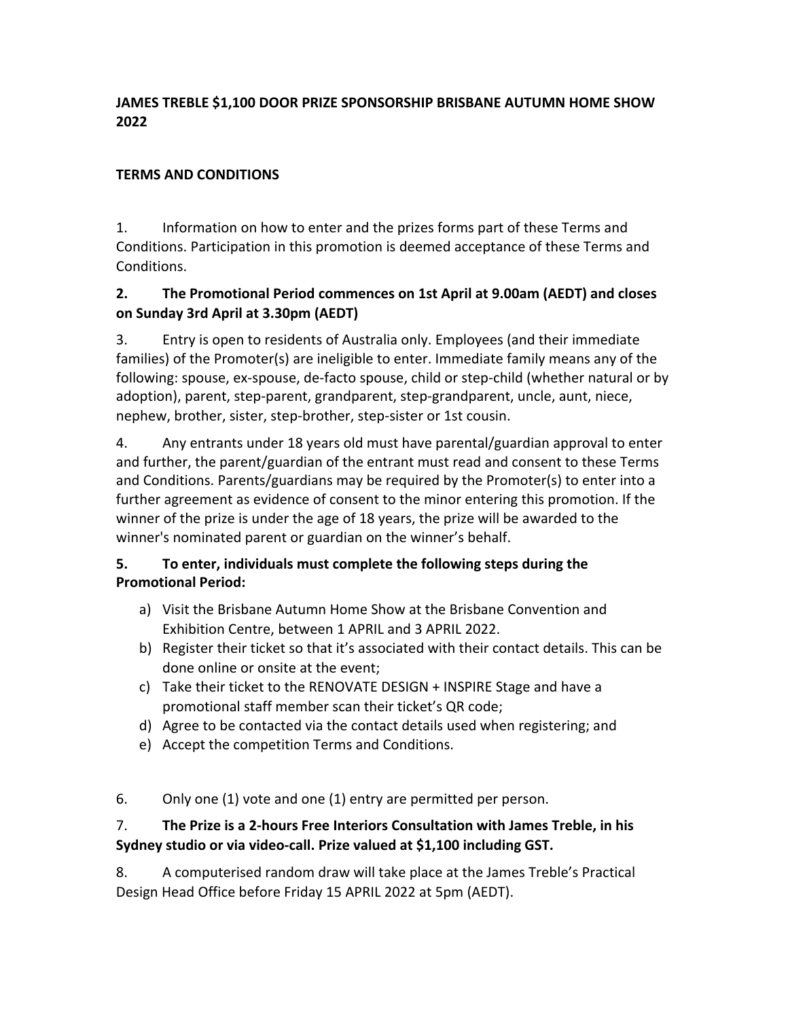#### **JAMES TREBLE \$1,100 DOOR PRIZE SPONSORSHIP BRISBANE AUTUMN HOME SHOW 2022**

#### **TERMS AND CONDITIONS**

1. Information on how to enter and the prizes forms part of these Terms and Conditions. Participation in this promotion is deemed acceptance of these Terms and Conditions.

### **2. The Promotional Period commences on 1st April at 9.00am (AEDT) and closes on Sunday 3rd April at 3.30pm (AEDT)**

3. Entry is open to residents of Australia only. Employees (and their immediate families) of the Promoter(s) are ineligible to enter. Immediate family means any of the following: spouse, ex-spouse, de-facto spouse, child or step-child (whether natural or by adoption), parent, step-parent, grandparent, step-grandparent, uncle, aunt, niece, nephew, brother, sister, step-brother, step-sister or 1st cousin.

4. Any entrants under 18 years old must have parental/guardian approval to enter and further, the parent/guardian of the entrant must read and consent to these Terms and Conditions. Parents/guardians may be required by the Promoter(s) to enter into a further agreement as evidence of consent to the minor entering this promotion. If the winner of the prize is under the age of 18 years, the prize will be awarded to the winner's nominated parent or guardian on the winner's behalf.

## **5. To enter, individuals must complete the following steps during the Promotional Period:**

- a) Visit the Brisbane Autumn Home Show at the Brisbane Convention and Exhibition Centre, between 1 APRIL and 3 APRIL 2022.
- b) Register their ticket so that it's associated with their contact details. This can be done online or onsite at the event;
- c) Take their ticket to the RENOVATE DESIGN + INSPIRE Stage and have a promotional staff member scan their ticket's QR code;
- d) Agree to be contacted via the contact details used when registering; and
- e) Accept the competition Terms and Conditions.

#### 6. Only one (1) vote and one (1) entry are permitted per person.

#### 7. **The Prize is a 2-hours Free Interiors Consultation with James Treble, in his Sydney studio or via video-call. Prize valued at \$1,100 including GST.**

8. A computerised random draw will take place at the James Treble's Practical Design Head Office before Friday 15 APRIL 2022 at 5pm (AEDT).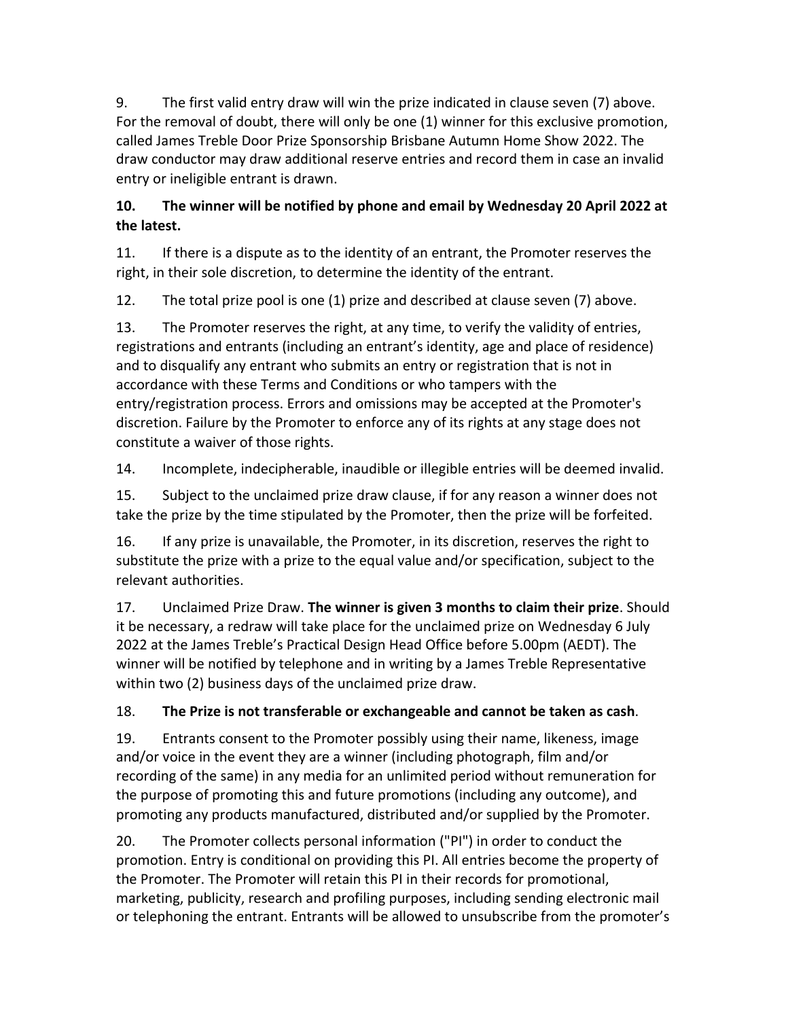9. The first valid entry draw will win the prize indicated in clause seven (7) above. For the removal of doubt, there will only be one (1) winner for this exclusive promotion, called James Treble Door Prize Sponsorship Brisbane Autumn Home Show 2022. The draw conductor may draw additional reserve entries and record them in case an invalid entry or ineligible entrant is drawn.

## **10. The winner will be notified by phone and email by Wednesday 20 April 2022 at the latest.**

11. If there is a dispute as to the identity of an entrant, the Promoter reserves the right, in their sole discretion, to determine the identity of the entrant.

12. The total prize pool is one (1) prize and described at clause seven (7) above.

13. The Promoter reserves the right, at any time, to verify the validity of entries, registrations and entrants (including an entrant's identity, age and place of residence) and to disqualify any entrant who submits an entry or registration that is not in accordance with these Terms and Conditions or who tampers with the entry/registration process. Errors and omissions may be accepted at the Promoter's discretion. Failure by the Promoter to enforce any of its rights at any stage does not constitute a waiver of those rights.

14. Incomplete, indecipherable, inaudible or illegible entries will be deemed invalid.

15. Subject to the unclaimed prize draw clause, if for any reason a winner does not take the prize by the time stipulated by the Promoter, then the prize will be forfeited.

16. If any prize is unavailable, the Promoter, in its discretion, reserves the right to substitute the prize with a prize to the equal value and/or specification, subject to the relevant authorities.

17. Unclaimed Prize Draw. **The winner is given 3 months to claim their prize**. Should it be necessary, a redraw will take place for the unclaimed prize on Wednesday 6 July 2022 at the James Treble's Practical Design Head Office before 5.00pm (AEDT). The winner will be notified by telephone and in writing by a James Treble Representative within two (2) business days of the unclaimed prize draw.

# 18. **The Prize is not transferable or exchangeable and cannot be taken as cash**.

19. Entrants consent to the Promoter possibly using their name, likeness, image and/or voice in the event they are a winner (including photograph, film and/or recording of the same) in any media for an unlimited period without remuneration for the purpose of promoting this and future promotions (including any outcome), and promoting any products manufactured, distributed and/or supplied by the Promoter.

20. The Promoter collects personal information ("PI") in order to conduct the promotion. Entry is conditional on providing this PI. All entries become the property of the Promoter. The Promoter will retain this PI in their records for promotional, marketing, publicity, research and profiling purposes, including sending electronic mail or telephoning the entrant. Entrants will be allowed to unsubscribe from the promoter's